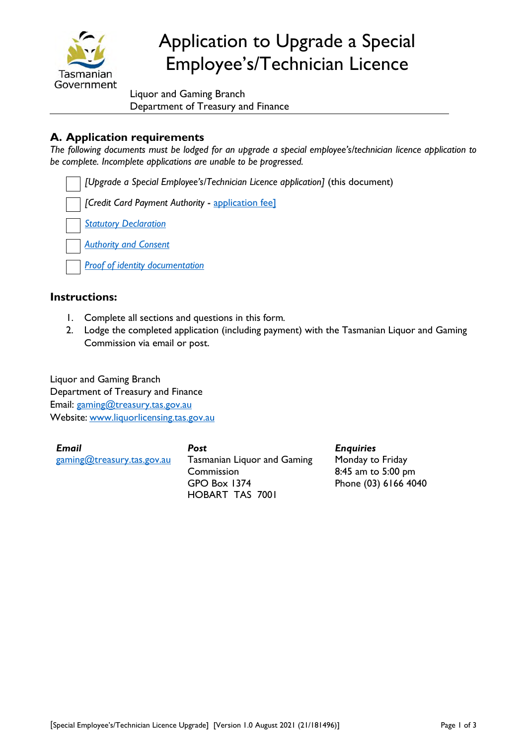

# Application to Upgrade a Special Employee's/Technician Licence

Liquor and Gaming Branch Department of Treasury and Finance

## **A. Application requirements**

*The following documents must be lodged for an upgrade a special employee's/technician licence application to be complete. Incomplete applications are unable to be progressed.* 

*[Upgrade a Special Employee's/Technician Licence application]* (this document)

*[Credit Card Payment Authority* - [application fee](https://www.treasury.tas.gov.au/liquor-and-gaming/fees)]

*[Statutory Declaration](https://www.treasury.tas.gov.au/Documents/Statutory%20Declaration.pdf)*

*[Authority and Consent](https://www.treasury.tas.gov.au/Documents/Authority%20and%20Consent.pdf)*

*[Proof of identity documentation](https://www.treasury.tas.gov.au/liquor-and-gaming/forms/proof-of-identity)*

#### **Instructions:**

- 1. Complete all sections and questions in this form*.*
- 2. Lodge the completed application (including payment) with the Tasmanian Liquor and Gaming Commission via email or post.

Liquor and Gaming Branch Department of Treasury and Finance Email: [gaming@treasury.tas.gov.au](mailto:gaming@treasury.tas.gov.au) Website: www.liquorlicensing.tas.gov.au

*Email* [gaming@treasury.tas.gov.au](mailto:gaming@treasury.tas.gov.au)

*Post* Tasmanian Liquor and Gaming Commission GPO Box 1374 HOBART TAS 7001

*Enquiries* Monday to Friday 8:45 am to 5:00 pm Phone (03) 6166 4040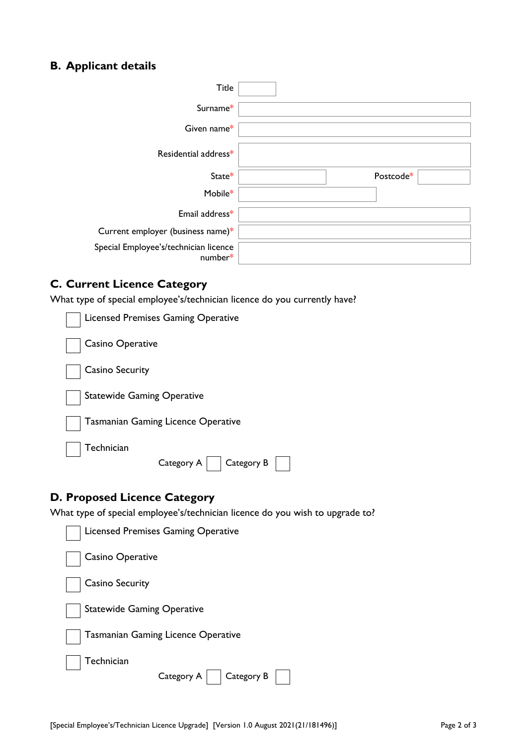# **B. Applicant details**

| <b>Title</b>                                     |           |
|--------------------------------------------------|-----------|
| Surname*                                         |           |
| Given name*                                      |           |
| Residential address*                             |           |
| State*                                           | Postcode* |
| Mobile*                                          |           |
| Email address*                                   |           |
| Current employer (business name)*                |           |
| Special Employee's/technician licence<br>number* |           |

### **C. Current Licence Category**

What type of special employee's/technician licence do you currently have?

| <b>Licensed Premises Gaming Operative</b> |
|-------------------------------------------|
| Casino Operative                          |
| <b>Casino Security</b>                    |
| <b>Statewide Gaming Operative</b>         |
| <b>Tasmanian Gaming Licence Operative</b> |
| Technician<br>Category A<br>Category B    |
| . <b>. .</b> .<br>. <b>.</b> .            |

### **D. Proposed Licence Category**

What type of special employee's/technician licence do you wish to upgrade to?

| Licensed Premises Gaming Operative        |  |
|-------------------------------------------|--|
| Casino Operative                          |  |
| <b>Casino Security</b>                    |  |
| <b>Statewide Gaming Operative</b>         |  |
| <b>Tasmanian Gaming Licence Operative</b> |  |
| Technician<br>Category A<br>  Category B  |  |